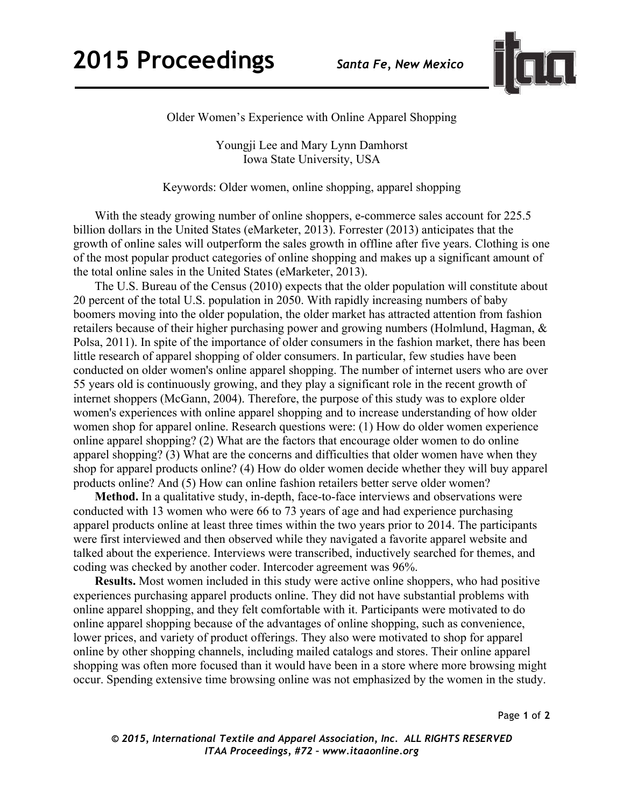## **2015 Proceedings** *Santa Fe, New Mexico*



Older Women's Experience with Online Apparel Shopping

Youngji Lee and Mary Lynn Damhorst Iowa State University, USA

Keywords: Older women, online shopping, apparel shopping

 With the steady growing number of online shoppers, e-commerce sales account for 225.5 billion dollars in the United States (eMarketer, 2013). Forrester (2013) anticipates that the growth of online sales will outperform the sales growth in offline after five years. Clothing is one of the most popular product categories of online shopping and makes up a significant amount of the total online sales in the United States (eMarketer, 2013).

 The U.S. Bureau of the Census (2010) expects that the older population will constitute about 20 percent of the total U.S. population in 2050. With rapidly increasing numbers of baby boomers moving into the older population, the older market has attracted attention from fashion retailers because of their higher purchasing power and growing numbers (Holmlund, Hagman, & Polsa, 2011). In spite of the importance of older consumers in the fashion market, there has been little research of apparel shopping of older consumers. In particular, few studies have been conducted on older women's online apparel shopping. The number of internet users who are over 55 years old is continuously growing, and they play a significant role in the recent growth of internet shoppers (McGann, 2004). Therefore, the purpose of this study was to explore older women's experiences with online apparel shopping and to increase understanding of how older women shop for apparel online. Research questions were: (1) How do older women experience online apparel shopping? (2) What are the factors that encourage older women to do online apparel shopping? (3) What are the concerns and difficulties that older women have when they shop for apparel products online? (4) How do older women decide whether they will buy apparel products online? And (5) How can online fashion retailers better serve older women?

 **Method.** In a qualitative study, in-depth, face-to-face interviews and observations were conducted with 13 women who were 66 to 73 years of age and had experience purchasing apparel products online at least three times within the two years prior to 2014. The participants were first interviewed and then observed while they navigated a favorite apparel website and talked about the experience. Interviews were transcribed, inductively searched for themes, and coding was checked by another coder. Intercoder agreement was 96%.

 **Results.** Most women included in this study were active online shoppers, who had positive experiences purchasing apparel products online. They did not have substantial problems with online apparel shopping, and they felt comfortable with it. Participants were motivated to do online apparel shopping because of the advantages of online shopping, such as convenience, lower prices, and variety of product offerings. They also were motivated to shop for apparel online by other shopping channels, including mailed catalogs and stores. Their online apparel shopping was often more focused than it would have been in a store where more browsing might occur. Spending extensive time browsing online was not emphasized by the women in the study.

Page **1** of **2** 

*© 2015, International Textile and Apparel Association, Inc. ALL RIGHTS RESERVED ITAA Proceedings, #72 – www.itaaonline.org*